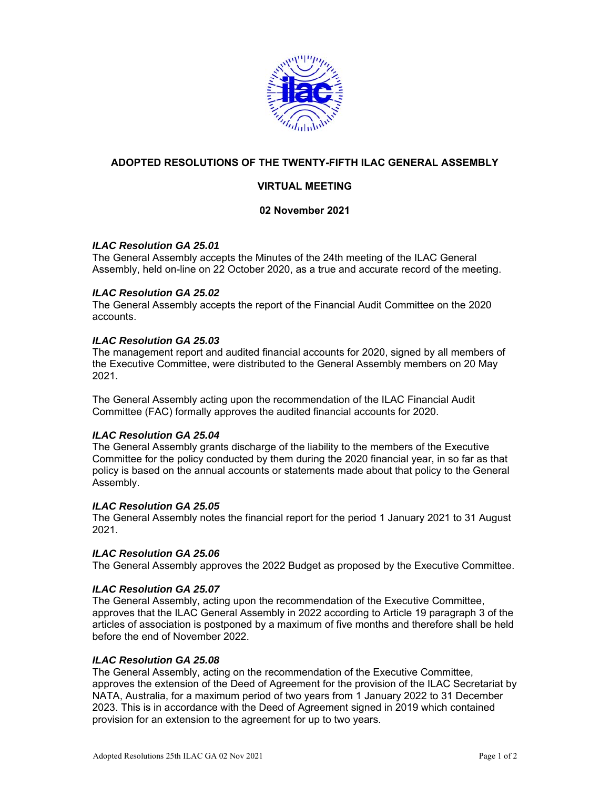

# **ADOPTED RESOLUTIONS OF THE TWENTY-FIFTH ILAC GENERAL ASSEMBLY**

# **VIRTUAL MEETING**

## **02 November 2021**

### *ILAC Resolution GA 25.01*

The General Assembly accepts the Minutes of the 24th meeting of the ILAC General Assembly, held on-line on 22 October 2020, as a true and accurate record of the meeting.

### *ILAC Resolution GA 25.02*

The General Assembly accepts the report of the Financial Audit Committee on the 2020 accounts.

### *ILAC Resolution GA 25.03*

The management report and audited financial accounts for 2020, signed by all members of the Executive Committee, were distributed to the General Assembly members on 20 May 2021.

The General Assembly acting upon the recommendation of the ILAC Financial Audit Committee (FAC) formally approves the audited financial accounts for 2020.

#### *ILAC Resolution GA 25.04*

The General Assembly grants discharge of the liability to the members of the Executive Committee for the policy conducted by them during the 2020 financial year, in so far as that policy is based on the annual accounts or statements made about that policy to the General Assembly.

#### *ILAC Resolution GA 25.05*

The General Assembly notes the financial report for the period 1 January 2021 to 31 August 2021.

#### *ILAC Resolution GA 25.06*

The General Assembly approves the 2022 Budget as proposed by the Executive Committee.

#### *ILAC Resolution GA 25.07*

The General Assembly, acting upon the recommendation of the Executive Committee, approves that the ILAC General Assembly in 2022 according to Article 19 paragraph 3 of the articles of association is postponed by a maximum of five months and therefore shall be held before the end of November 2022.

#### *ILAC Resolution GA 25.08*

The General Assembly, acting on the recommendation of the Executive Committee, approves the extension of the Deed of Agreement for the provision of the ILAC Secretariat by NATA, Australia, for a maximum period of two years from 1 January 2022 to 31 December 2023. This is in accordance with the Deed of Agreement signed in 2019 which contained provision for an extension to the agreement for up to two years.